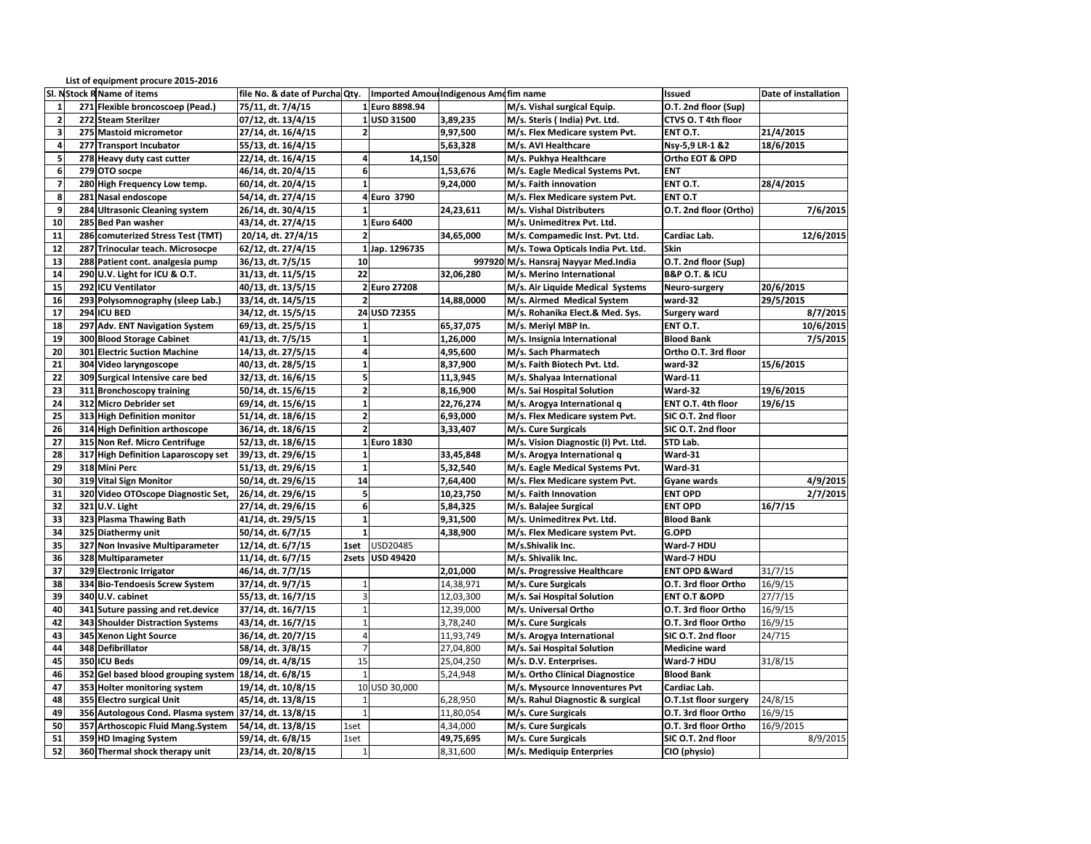|                          | List of equipment procure 2015-2016                   |                                |                         |                                        |            |                                      |                               |                      |
|--------------------------|-------------------------------------------------------|--------------------------------|-------------------------|----------------------------------------|------------|--------------------------------------|-------------------------------|----------------------|
|                          | SI. NStock R Name of items                            | file No. & date of Purcha Qty. |                         | Imported Amoul Indigenous Ame fim name |            |                                      | <b>Issued</b>                 | Date of installation |
| 1                        | 271 Flexible broncoscoep (Pead.)                      | 75/11, dt. 7/4/15              |                         | 1 Euro 8898.94                         |            | M/s. Vishal surgical Equip.          | O.T. 2nd floor (Sup)          |                      |
| $\overline{2}$           | 272 Steam Sterilzer                                   | 07/12, dt. 13/4/15             |                         | 1 USD 31500                            | 3,89,235   | M/s. Steris (India) Pvt. Ltd.        | CTVS O. T 4th floor           |                      |
| $\overline{\mathbf{3}}$  | 275 Mastoid micrometor                                | 27/14, dt. 16/4/15             | $\overline{\mathbf{2}}$ |                                        | 9,97,500   | M/s. Flex Medicare system Pvt.       | ENT O.T.                      | 21/4/2015            |
| 4                        | 277 Transport Incubator                               | 55/13, dt. 16/4/15             |                         |                                        | 5,63,328   | M/s. AVI Healthcare                  | Nsy-5,9 LR-1 &2               | 18/6/2015            |
| $\overline{\mathbf{5}}$  | 278 Heavy duty cast cutter                            | 22/14, dt. 16/4/15             | $\pmb{4}$               | 14,150                                 |            | M/s. Pukhya Healthcare               | Ortho EOT & OPD               |                      |
| 6                        | 279 OTO socpe                                         | 46/14, dt. 20/4/15             | 6                       |                                        | 1,53,676   | M/s. Eagle Medical Systems Pvt.      | <b>ENT</b>                    |                      |
| $\overline{\phantom{a}}$ | 280 High Frequency Low temp.                          | 60/14, dt. 20/4/15             | $\overline{1}$          |                                        | 9,24,000   | M/s. Faith innovation                | ENT O.T.                      | 28/4/2015            |
| 8                        | 281 Nasal endoscope                                   | 54/14, dt. 27/4/15             |                         | 4 Euro 3790                            |            | M/s. Flex Medicare system Pvt.       | <b>ENT O.T</b>                |                      |
| 9                        | 284 Ultrasonic Cleaning system                        | 26/14, dt. 30/4/15             | $\mathbf{1}$            |                                        | 24,23,611  | M/s. Vishal Distributers             | O.T. 2nd floor (Ortho)        | 7/6/2015             |
| 10                       | 285 Bed Pan washer                                    | 43/14, dt. 27/4/15             |                         | 1 Euro 6400                            |            | M/s. Unimeditrex Pvt. Ltd.           |                               |                      |
| 11                       | 286 comuterized Stress Test (TMT)                     | 20/14, dt. 27/4/15             | $\overline{2}$          |                                        | 34,65,000  | M/s. Compamedic Inst. Pvt. Ltd.      | Cardiac Lab.                  | 12/6/2015            |
| 12                       | 287 Trinocular teach. Microsocpe                      | 62/12, dt. 27/4/15             |                         | 1 Jap. 1296735                         |            | M/s. Towa Opticals India Pvt. Ltd.   | Skin                          |                      |
| 13                       | 288 Patient cont. analgesia pump                      | 36/13, dt. 7/5/15              | 10                      |                                        |            | 997920 M/s. Hansraj Nayyar Med.India | O.T. 2nd floor (Sup)          |                      |
| 14                       | 290 U.V. Light for ICU & O.T.                         | 31/13, dt. 11/5/15             | 22                      |                                        | 32,06,280  | M/s. Merino International            | <b>B&amp;P O.T. &amp; ICU</b> |                      |
| 15                       | 292 ICU Ventilator                                    | 40/13, dt. 13/5/15             |                         | 2 Euro 27208                           |            | M/s. Air Liquide Medical Systems     | Neuro-surgery                 | 20/6/2015            |
| 16                       | 293 Polysomnography (sleep Lab.)                      | 33/14, dt. 14/5/15             | $\overline{2}$          |                                        | 14.88.0000 | M/s. Airmed Medical System           | ward-32                       | 29/5/2015            |
| 17                       | 294 ICU BED                                           | 34/12, dt. 15/5/15             |                         | 24 USD 72355                           |            | M/s. Rohanika Elect.& Med. Sys.      | <b>Surgery ward</b>           | 8/7/2015             |
| 18                       | 297 Adv. ENT Navigation System                        | 69/13, dt. 25/5/15             | $\mathbf{1}$            |                                        | 65,37,075  | M/s. Meriyl MBP In.                  | ENT O.T.                      | 10/6/2015            |
| 19                       | 300 Blood Storage Cabinet                             | 41/13, dt. 7/5/15              | $\mathbf{1}$            |                                        | 1,26,000   | M/s. Insignia International          | <b>Blood Bank</b>             | 7/5/2015             |
| 20                       | <b>301 Electric Suction Machine</b>                   | 14/13, dt. 27/5/15             | $\overline{a}$          |                                        | 4,95,600   | M/s. Sach Pharmatech                 | Ortho O.T. 3rd floor          |                      |
| 21                       | 304 Video laryngoscope                                | 40/13, dt. 28/5/15             | $\mathbf{1}$            |                                        | 8,37,900   | M/s. Faith Biotech Pvt. Ltd.         | ward-32                       | 15/6/2015            |
| 22                       | 309 Surgical Intensive care bed                       | 32/13, dt. 16/6/15             | 5                       |                                        | 11,3,945   | M/s. Shalyaa International           | Ward-11                       |                      |
| 23                       | 311 Bronchoscopy training                             | 50/14, dt. 15/6/15             | $\overline{2}$          |                                        | 8,16,900   | M/s. Sai Hospital Solution           | Ward-32                       | 19/6/2015            |
| 24                       | 312 Micro Debrider set                                | 69/14, dt. 15/6/15             | $\mathbf{1}$            |                                        | 22,76,274  | M/s. Arogya International q          | ENT O.T. 4th floor            | 19/6/15              |
| 25                       | 313 High Definition monitor                           | 51/14, dt. 18/6/15             | $\overline{2}$          |                                        | 6,93,000   | M/s. Flex Medicare system Pvt.       | SIC O.T. 2nd floor            |                      |
| 26                       | 314 High Definition arthoscope                        | 36/14, dt. 18/6/15             | $\overline{2}$          |                                        | 3,33,407   | M/s. Cure Surgicals                  | SIC O.T. 2nd floor            |                      |
| 27                       | 315 Non Ref. Micro Centrifuge                         | 52/13, dt. 18/6/15             |                         | 1 Euro 1830                            |            | M/s. Vision Diagnostic (I) Pvt. Ltd. | STD Lab.                      |                      |
| 28                       | 317 High Definition Laparoscopy set                   | 39/13, dt. 29/6/15             | $\mathbf{1}$            |                                        | 33,45,848  | M/s. Arogya International q          | Ward-31                       |                      |
| 29                       | 318 Mini Perc                                         | 51/13, dt. 29/6/15             | $\mathbf{1}$            |                                        | 5,32,540   | M/s. Eagle Medical Systems Pvt.      | Ward-31                       |                      |
| 30                       | 319 Vital Sign Monitor                                | 50/14, dt. 29/6/15             | 14                      |                                        | 7,64,400   | M/s. Flex Medicare system Pvt.       | <b>Gyane wards</b>            | 4/9/2015             |
| 31                       | 320 Video OTOscope Diagnostic Set,                    | 26/14, dt. 29/6/15             | 5                       |                                        | 10,23,750  | M/s. Faith Innovation                | <b>ENT OPD</b>                | 2/7/2015             |
| 32                       | 321 U.V. Light                                        | 27/14, dt. 29/6/15             | 6                       |                                        | 5,84,325   | M/s. Balajee Surgical                | <b>ENT OPD</b>                | 16/7/15              |
| 33                       | 323 Plasma Thawing Bath                               | 41/14, dt. 29/5/15             | $\mathbf{1}$            |                                        | 9,31,500   | M/s. Unimeditrex Pvt. Ltd.           | <b>Blood Bank</b>             |                      |
| 34                       | 325 Diathermy unit                                    | 50/14, dt. 6/7/15              | $\mathbf{1}$            |                                        | 4,38,900   | M/s. Flex Medicare system Pvt.       | G.OPD                         |                      |
| 35                       | 327 Non Invasive Multiparameter                       | 12/14, dt. 6/7/15              | 1set                    | USD20485                               |            | M/s.Shivalik Inc.                    | Ward-7 HDU                    |                      |
| 36                       | 328 Multiparameter                                    | 11/14, dt. 6/7/15              | 2sets                   | <b>USD 49420</b>                       |            | M/s. Shivalik Inc.                   | Ward-7 HDU                    |                      |
| 37                       | 329 Electronic Irrigator                              | 46/14, dt. 7/7/15              |                         |                                        | 2,01,000   | M/s. Progressive Healthcare          | <b>ENT OPD &amp; Ward</b>     | 31/7/15              |
| 38                       | 334 Bio-Tendoesis Screw System                        | 37/14, dt. 9/7/15              | $\overline{1}$          |                                        | 14,38,971  | M/s. Cure Surgicals                  | O.T. 3rd floor Ortho          | 16/9/15              |
| 39                       | 340 U.V. cabinet                                      | 55/13, dt. 16/7/15             | 3                       |                                        | 12,03,300  | M/s. Sai Hospital Solution           | <b>ENT O.T &amp; OPD</b>      | 27/7/15              |
| 40                       | 341 Suture passing and ret.device                     | 37/14, dt. 16/7/15             | $\mathbf{1}$            |                                        | 12,39,000  | M/s. Universal Ortho                 | O.T. 3rd floor Ortho          | 16/9/15              |
| 42                       | 343 Shoulder Distraction Systems                      | 43/14, dt. 16/7/15             | $\mathbf{1}$            |                                        | 3,78,240   | M/s. Cure Surgicals                  | O.T. 3rd floor Ortho          | 16/9/15              |
| 43                       | 345 Xenon Light Source                                | 36/14, dt. 20/7/15             | $\overline{4}$          |                                        | 11,93,749  | M/s. Arogya International            | SIC O.T. 2nd floor            | 24/715               |
| 44                       | 348 Defibrillator                                     | 58/14, dt. 3/8/15              | $\overline{7}$          |                                        | 27,04,800  | M/s. Sai Hospital Solution           | <b>Medicine ward</b>          |                      |
| 45                       | 350 ICU Beds                                          | 09/14, dt. 4/8/15              | 15                      |                                        | 25,04,250  | M/s. D.V. Enterprises.               | Ward-7 HDU                    | 31/8/15              |
| 46                       | 352 Gel based blood grouping system 18/14, dt. 6/8/15 |                                | $\overline{1}$          |                                        | 5,24,948   | M/s. Ortho Clinical Diagnostice      | <b>Blood Bank</b>             |                      |
| 47                       | 353 Holter monitoring system                          | 19/14, dt. 10/8/15             |                         | 10 USD 30,000                          |            | M/s. Mysource Innoventures Pvt       | Cardiac Lab.                  |                      |
| 48                       | 355 Electro surgical Unit                             | 45/14, dt. 13/8/15             |                         |                                        | 6,28,950   | M/s. Rahul Diagnostic & surgical     | O.T.1st floor surgery         | 24/8/15              |
| 49                       | 356 Autologous Cond. Plasma system                    | 37/14, dt. 13/8/15             | $\mathbf{1}$            |                                        | 11,80,054  | M/s. Cure Surgicals                  | O.T. 3rd floor Ortho          | 16/9/15              |
| 50                       | 357 Arthoscopic Fluid Mang.System                     | 54/14, dt. 13/8/15             | 1set                    |                                        | 4,34,000   | M/s. Cure Surgicals                  | O.T. 3rd floor Ortho          | 16/9/2015            |
| 51                       | 359 HD Imaging System                                 | 59/14, dt. 6/8/15              | 1set                    |                                        | 49,75,695  | M/s. Cure Surgicals                  | SIC O.T. 2nd floor            | 8/9/2015             |
| 52                       | 360 Thermal shock therapy unit                        | 23/14, dt. 20/8/15             | $\mathbf{1}$            |                                        | 8,31,600   | M/s. Mediquip Enterpries             | CIO (physio)                  |                      |
|                          |                                                       |                                |                         |                                        |            |                                      |                               |                      |